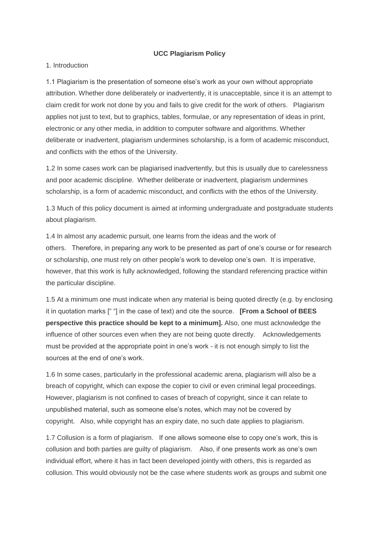### **UCC Plagiarism Policy**

#### 1. Introduction

1.1 Plagiarism is the presentation of someone else's work as your own without appropriate attribution. Whether done deliberately or inadvertently, it is unacceptable, since it is an attempt to claim credit for work not done by you and fails to give credit for the work of others. Plagiarism applies not just to text, but to graphics, tables, formulae, or any representation of ideas in print, electronic or any other media, in addition to computer software and algorithms. Whether deliberate or inadvertent, plagiarism undermines scholarship, is a form of academic misconduct, and conflicts with the ethos of the University.

1.2 In some cases work can be plagiarised inadvertently, but this is usually due to carelessness and poor academic discipline. Whether deliberate or inadvertent, plagiarism undermines scholarship, is a form of academic misconduct, and conflicts with the ethos of the University.

1.3 Much of this policy document is aimed at informing undergraduate and postgraduate students about plagiarism.

1.4 In almost any academic pursuit, one learns from the ideas and the work of others. Therefore, in preparing any work to be presented as part of one's course or for research or scholarship, one must rely on other people's work to develop one's own. It is imperative, however, that this work is fully acknowledged, following the standard referencing practice within the particular discipline.

1.5 At a minimum one must indicate when any material is being quoted directly (e.g. by enclosing it in quotation marks [" "] in the case of text) and cite the source. **[From a School of BEES perspective this practice should be kept to a minimum].** Also, one must acknowledge the influence of other sources even when they are not being quote directly. Acknowledgements must be provided at the appropriate point in one's work - it is not enough simply to list the sources at the end of one's work.

1.6 In some cases, particularly in the professional academic arena, plagiarism will also be a breach of copyright, which can expose the copier to civil or even criminal legal proceedings. However, plagiarism is not confined to cases of breach of copyright, since it can relate to unpublished material, such as someone else's notes, which may not be covered by copyright. Also, while copyright has an expiry date, no such date applies to plagiarism.

1.7 Collusion is a form of plagiarism. If one allows someone else to copy one's work, this is collusion and both parties are guilty of plagiarism. Also, if one presents work as one's own individual effort, where it has in fact been developed jointly with others, this is regarded as collusion. This would obviously not be the case where students work as groups and submit one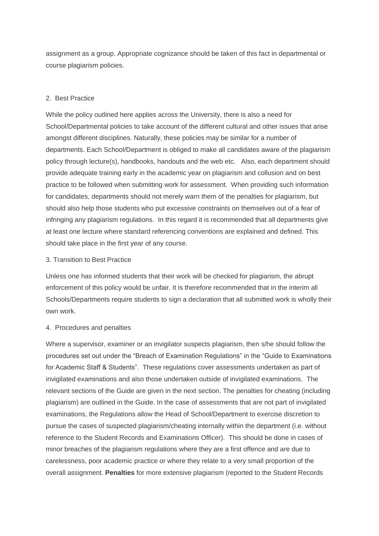assignment as a group. Appropriate cognizance should be taken of this fact in departmental or course plagiarism policies.

#### 2. Best Practice

While the policy outlined here applies across the University, there is also a need for School/Departmental policies to take account of the different cultural and other issues that arise amongst different disciplines. Naturally, these policies may be similar for a number of departments. Each School/Department is obliged to make all candidates aware of the plagiarism policy through lecture(s), handbooks, handouts and the web etc. Also, each department should provide adequate training early in the academic year on plagiarism and collusion and on best practice to be followed when submitting work for assessment. When providing such information for candidates, departments should not merely warn them of the penalties for plagiarism, but should also help those students who put excessive constraints on themselves out of a fear of infringing any plagiarism regulations. In this regard it is recommended that all departments give at least one lecture where standard referencing conventions are explained and defined. This should take place in the first year of any course.

#### 3. Transition to Best Practice

Unless one has informed students that their work will be checked for plagiarism, the abrupt enforcement of this policy would be unfair. It is therefore recommended that in the interim all Schools/Departments require students to sign a declaration that all submitted work is wholly their own work.

#### 4. Procedures and penalties

Where a supervisor, examiner or an invigilator suspects plagiarism, then s/he should follow the procedures set out under the "Breach of Examination Regulations" in the "Guide to Examinations for Academic Staff & Students". These regulations cover assessments undertaken as part of invigilated examinations and also those undertaken outside of invigilated examinations. The relevant sections of the Guide are given in the next section. The penalties for cheating (including plagiarism) are outlined in the Guide. In the case of assessments that are not part of invigilated examinations, the Regulations allow the Head of School/Department to exercise discretion to pursue the cases of suspected plagiarism/cheating internally within the department (i.e. without reference to the Student Records and Examinations Officer). This should be done in cases of minor breaches of the plagiarism regulations where they are a first offence and are due to carelessness, poor academic practice or where they relate to a very small proportion of the overall assignment. **Penalties** for more extensive plagiarism (reported to the Student Records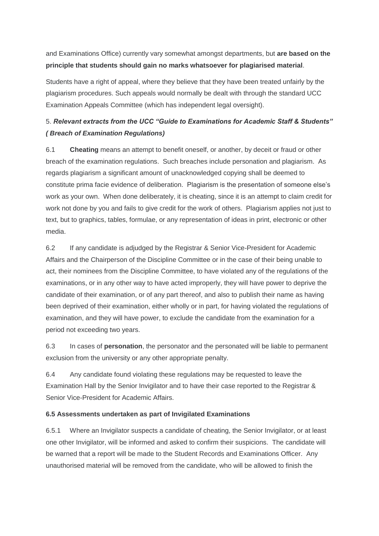and Examinations Office) currently vary somewhat amongst departments, but **are based on the principle that students should gain no marks whatsoever for plagiarised material**.

Students have a right of appeal, where they believe that they have been treated unfairly by the plagiarism procedures. Such appeals would normally be dealt with through the standard UCC Examination Appeals Committee (which has independent legal oversight).

# 5. *Relevant extracts from the UCC "Guide to Examinations for Academic Staff & Students" ( Breach of Examination Regulations)*

6.1 **Cheating** means an attempt to benefit oneself, or another, by deceit or fraud or other breach of the examination regulations. Such breaches include personation and plagiarism. As regards plagiarism a significant amount of unacknowledged copying shall be deemed to constitute prima facie evidence of deliberation. Plagiarism is the presentation of someone else's work as your own. When done deliberately, it is cheating, since it is an attempt to claim credit for work not done by you and fails to give credit for the work of others. Plagiarism applies not just to text, but to graphics, tables, formulae, or any representation of ideas in print, electronic or other media.

6.2 If any candidate is adjudged by the Registrar & Senior Vice-President for Academic Affairs and the Chairperson of the Discipline Committee or in the case of their being unable to act, their nominees from the Discipline Committee, to have violated any of the regulations of the examinations, or in any other way to have acted improperly, they will have power to deprive the candidate of their examination, or of any part thereof, and also to publish their name as having been deprived of their examination, either wholly or in part, for having violated the regulations of examination, and they will have power, to exclude the candidate from the examination for a period not exceeding two years.

6.3 In cases of **personation**, the personator and the personated will be liable to permanent exclusion from the university or any other appropriate penalty.

6.4 Any candidate found violating these regulations may be requested to leave the Examination Hall by the Senior Invigilator and to have their case reported to the Registrar & Senior Vice-President for Academic Affairs.

# **6.5 Assessments undertaken as part of Invigilated Examinations**

6.5.1 Where an Invigilator suspects a candidate of cheating, the Senior Invigilator, or at least one other Invigilator, will be informed and asked to confirm their suspicions. The candidate will be warned that a report will be made to the Student Records and Examinations Officer. Any unauthorised material will be removed from the candidate, who will be allowed to finish the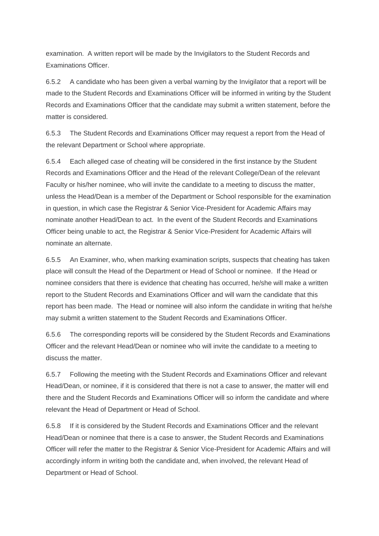examination. A written report will be made by the Invigilators to the Student Records and Examinations Officer.

6.5.2 A candidate who has been given a verbal warning by the Invigilator that a report will be made to the Student Records and Examinations Officer will be informed in writing by the Student Records and Examinations Officer that the candidate may submit a written statement, before the matter is considered.

6.5.3 The Student Records and Examinations Officer may request a report from the Head of the relevant Department or School where appropriate.

6.5.4 Each alleged case of cheating will be considered in the first instance by the Student Records and Examinations Officer and the Head of the relevant College/Dean of the relevant Faculty or his/her nominee, who will invite the candidate to a meeting to discuss the matter, unless the Head/Dean is a member of the Department or School responsible for the examination in question, in which case the Registrar & Senior Vice-President for Academic Affairs may nominate another Head/Dean to act. In the event of the Student Records and Examinations Officer being unable to act, the Registrar & Senior Vice-President for Academic Affairs will nominate an alternate.

6.5.5 An Examiner, who, when marking examination scripts, suspects that cheating has taken place will consult the Head of the Department or Head of School or nominee. If the Head or nominee considers that there is evidence that cheating has occurred, he/she will make a written report to the Student Records and Examinations Officer and will warn the candidate that this report has been made. The Head or nominee will also inform the candidate in writing that he/she may submit a written statement to the Student Records and Examinations Officer.

6.5.6 The corresponding reports will be considered by the Student Records and Examinations Officer and the relevant Head/Dean or nominee who will invite the candidate to a meeting to discuss the matter.

6.5.7 Following the meeting with the Student Records and Examinations Officer and relevant Head/Dean, or nominee, if it is considered that there is not a case to answer, the matter will end there and the Student Records and Examinations Officer will so inform the candidate and where relevant the Head of Department or Head of School.

6.5.8 If it is considered by the Student Records and Examinations Officer and the relevant Head/Dean or nominee that there is a case to answer, the Student Records and Examinations Officer will refer the matter to the Registrar & Senior Vice-President for Academic Affairs and will accordingly inform in writing both the candidate and, when involved, the relevant Head of Department or Head of School.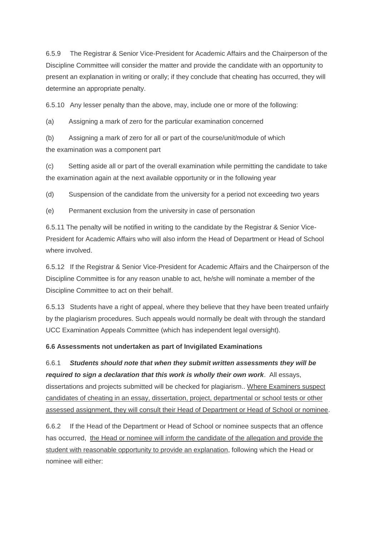6.5.9 The Registrar & Senior Vice-President for Academic Affairs and the Chairperson of the Discipline Committee will consider the matter and provide the candidate with an opportunity to present an explanation in writing or orally; if they conclude that cheating has occurred, they will determine an appropriate penalty.

6.5.10 Any lesser penalty than the above, may, include one or more of the following:

(a) Assigning a mark of zero for the particular examination concerned

(b) Assigning a mark of zero for all or part of the course/unit/module of which the examination was a component part

(c) Setting aside all or part of the overall examination while permitting the candidate to take the examination again at the next available opportunity or in the following year

(d) Suspension of the candidate from the university for a period not exceeding two years

(e) Permanent exclusion from the university in case of personation

6.5.11 The penalty will be notified in writing to the candidate by the Registrar & Senior Vice-President for Academic Affairs who will also inform the Head of Department or Head of School where involved

6.5.12 If the Registrar & Senior Vice-President for Academic Affairs and the Chairperson of the Discipline Committee is for any reason unable to act, he/she will nominate a member of the Discipline Committee to act on their behalf.

6.5.13 Students have a right of appeal, where they believe that they have been treated unfairly by the plagiarism procedures. Such appeals would normally be dealt with through the standard UCC Examination Appeals Committee (which has independent legal oversight).

# **6.6 Assessments not undertaken as part of Invigilated Examinations**

6.6.1 *Students should note that when they submit written assessments they will be required to sign a declaration that this work is wholly their own work*. All essays, dissertations and projects submitted will be checked for plagiarism.. Where Examiners suspect candidates of cheating in an essay, dissertation, project, departmental or school tests or other assessed assignment, they will consult their Head of Department or Head of School or nominee.

6.6.2 If the Head of the Department or Head of School or nominee suspects that an offence has occurred, the Head or nominee will inform the candidate of the allegation and provide the student with reasonable opportunity to provide an explanation, following which the Head or nominee will either: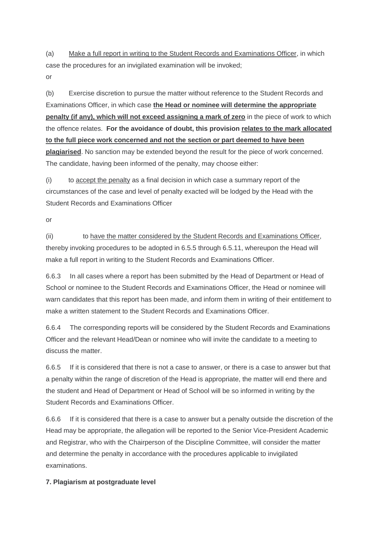(a) Make a full report in writing to the Student Records and Examinations Officer, in which case the procedures for an invigilated examination will be invoked; or

(b) Exercise discretion to pursue the matter without reference to the Student Records and Examinations Officer, in which case **the Head or nominee will determine the appropriate penalty (if any), which will not exceed assigning a mark of zero** in the piece of work to which the offence relates. **For the avoidance of doubt, this provision relates to the mark allocated to the full piece work concerned and not the section or part deemed to have been plagiarised**. No sanction may be extended beyond the result for the piece of work concerned. The candidate, having been informed of the penalty, may choose either:

(i) to accept the penalty as a final decision in which case a summary report of the circumstances of the case and level of penalty exacted will be lodged by the Head with the Student Records and Examinations Officer

or

(ii) to have the matter considered by the Student Records and Examinations Officer, thereby invoking procedures to be adopted in 6.5.5 through 6.5.11, whereupon the Head will make a full report in writing to the Student Records and Examinations Officer.

6.6.3 In all cases where a report has been submitted by the Head of Department or Head of School or nominee to the Student Records and Examinations Officer, the Head or nominee will warn candidates that this report has been made, and inform them in writing of their entitlement to make a written statement to the Student Records and Examinations Officer.

6.6.4 The corresponding reports will be considered by the Student Records and Examinations Officer and the relevant Head/Dean or nominee who will invite the candidate to a meeting to discuss the matter.

6.6.5 If it is considered that there is not a case to answer, or there is a case to answer but that a penalty within the range of discretion of the Head is appropriate, the matter will end there and the student and Head of Department or Head of School will be so informed in writing by the Student Records and Examinations Officer.

6.6.6 If it is considered that there is a case to answer but a penalty outside the discretion of the Head may be appropriate, the allegation will be reported to the Senior Vice-President Academic and Registrar, who with the Chairperson of the Discipline Committee, will consider the matter and determine the penalty in accordance with the procedures applicable to invigilated examinations.

# **7. Plagiarism at postgraduate level**